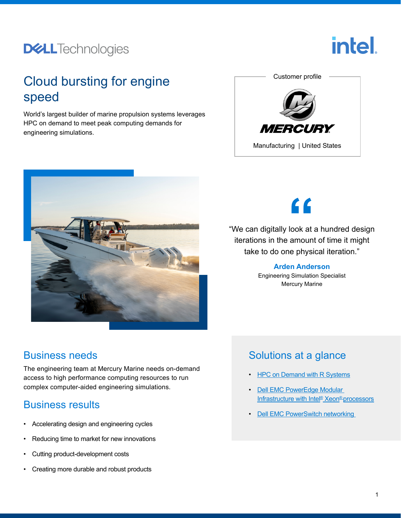## **DELL**Technologies



### Cloud bursting for engine speed

World's largest builder of marine propulsion systems leverages HPC on demand to meet peak computing demands for engineering simulations.





 $\epsilon$ 

"We can digitally look at a hundred design iterations in the amount of time it might take to do one physical iteration."

### **Arden Anderson**

Engineering Simulation Specialist Mercury Marine

#### Business needs

The engineering team at Mercury Marine needs on-demand access to high performance computing resources to run complex computer-aided engineering simulations.

#### Business results

- Accelerating design and engineering cycles
- Reducing time to market for new innovations
- Cutting product-development costs
- Creating more durable and robust products

### Solutions at a glance

- **[HPC on Demand with R Systems](https://www.delltechnologies.com/resources/en-us/asset/briefs-handouts/partner/dell-r-systems-partner-brief.pdf)**
- [Dell EMC PowerEdge Modular](https://www.delltechnologies.com/en-us/servers/modular-infrastructure/index.htm.)  [Infrastructure with Intel® Xeon® processors](https://www.delltechnologies.com/en-us/servers/modular-infrastructure/index.htm.)
- **Dell EMC PowerSwitch networking**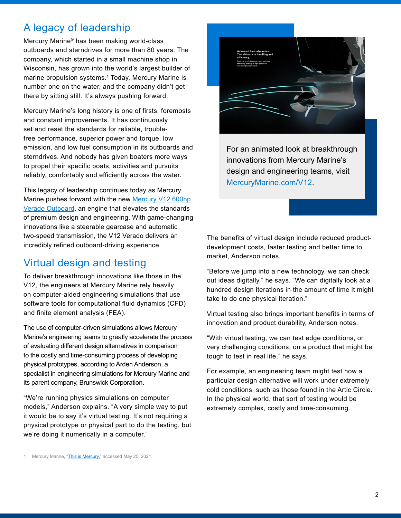#### A legacy of leadership

Mercury Marine® has been making world-class outboards and sterndrives for more than 80 years. The company, which started in a small machine shop in Wisconsin, has grown into the world's largest builder of marine propulsion systems.<sup>1</sup> Today, Mercury Marine is number one on the water, and the company didn't get there by sitting still. It's always pushing forward.

Mercury Marine's long history is one of firsts, foremosts and constant improvements. It has continuously set and reset the standards for reliable, troublefree performance, superior power and torque, low emission, and low fuel consumption in its outboards and sterndrives. And nobody has given boaters more ways to propel their specific boats, activities and pursuits reliably, comfortably and efficiently across the water.

This legacy of leadership continues today as Mercury Marine pushes forward with the new [Mercury V12 600hp](https://www.mercurymarine.com/en/us/v12/)  [Verado Outboard,](https://www.mercurymarine.com/en/us/v12/) an engine that elevates the standards of premium design and engineering. With game-changing innovations like a steerable gearcase and automatic two-speed transmission, the V12 Verado delivers an incredibly refined outboard-driving experience.

### Virtual design and testing

To deliver breakthrough innovations like those in the V12, the engineers at Mercury Marine rely heavily on computer-aided engineering simulations that use software tools for computational fluid dynamics (CFD) and finite element analysis (FEA).

The use of computer-driven simulations allows Mercury Marine's engineering teams to greatly accelerate the process of evaluating different design alternatives in comparison to the costly and time-consuming process of developing physical prototypes, according to Arden Anderson, a specialist in engineering simulations for Mercury Marine and its parent company, Brunswick Corporation.

"We're running physics simulations on computer models," Anderson explains. "A very simple way to put it would be to say it's virtual testing. It's not requiring a physical prototype or physical part to do the testing, but we're doing it numerically in a computer."



For an animated look at breakthrough innovations from Mercury Marine's design and engineering teams, visit [MercuryMarine.com/V12.](http://www.mercurymarine.com/V12)

The benefits of virtual design include reduced productdevelopment costs, faster testing and better time to market, Anderson notes.

"Before we jump into a new technology, we can check out ideas digitally," he says. "We can digitally look at a hundred design iterations in the amount of time it might take to do one physical iteration."

Virtual testing also brings important benefits in terms of innovation and product durability, Anderson notes.

"With virtual testing, we can test edge conditions, or very challenging conditions, on a product that might be tough to test in real life," he says.

For example, an engineering team might test how a particular design alternative will work under extremely cold conditions, such as those found in the Artic Circle. In the physical world, that sort of testing would be extremely complex, costly and time-consuming.

<sup>1</sup> Mercury Marine, "[This is Mercury,"](https://www.mercurymarine.com/en/us/about/heritage) accessed May 25, 2021.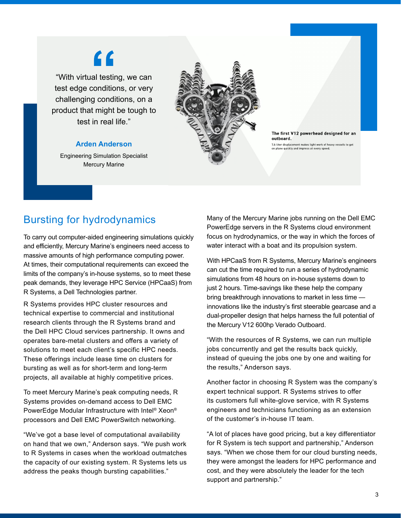# <u>"</u>

"With virtual testing, we can test edge conditions, or very challenging conditions, on a product that might be tough to test in real life."

#### **Arden Anderson**

Engineering Simulation Specialist Mercury Marine



The first V12 powerhead designed for an outboard. 7.6-liter displacement makes light work of heavy vessels to get<br>on plane quickly and impress at every speed.

#### Bursting for hydrodynamics

To carry out computer-aided engineering simulations quickly and efficiently, Mercury Marine's engineers need access to massive amounts of high performance computing power. At times, their computational requirements can exceed the limits of the company's in-house systems, so to meet these peak demands, they leverage HPC Service (HPCaaS) from R Systems, a Dell Technologies partner.

R Systems provides HPC cluster resources and technical expertise to commercial and institutional research clients through the R Systems brand and the Dell HPC Cloud services partnership. It owns and operates bare-metal clusters and offers a variety of solutions to meet each client's specific HPC needs. These offerings include lease time on clusters for bursting as well as for short-term and long-term projects, all available at highly competitive prices.

To meet Mercury Marine's peak computing needs, R Systems provides on-demand access to Dell EMC PowerEdge Modular Infrastructure with Intel® Xeon® processors and Dell EMC PowerSwitch networking.

"We've got a base level of computational availability on hand that we own," Anderson says. "We push work to R Systems in cases when the workload outmatches the capacity of our existing system. R Systems lets us address the peaks though bursting capabilities."

Many of the Mercury Marine jobs running on the Dell EMC PowerEdge servers in the R Systems cloud environment focus on hydrodynamics, or the way in which the forces of water interact with a boat and its propulsion system.

With HPCaaS from R Systems, Mercury Marine's engineers can cut the time required to run a series of hydrodynamic simulations from 48 hours on in-house systems down to just 2 hours. Time-savings like these help the company bring breakthrough innovations to market in less time innovations like the industry's first steerable gearcase and a dual-propeller design that helps harness the full potential of the Mercury V12 600hp Verado Outboard.

"With the resources of R Systems, we can run multiple jobs concurrently and get the results back quickly, instead of queuing the jobs one by one and waiting for the results," Anderson says.

Another factor in choosing R System was the company's expert technical support. R Systems strives to offer its customers full white-glove service, with R Systems engineers and technicians functioning as an extension of the customer's in-house IT team.

"A lot of places have good pricing, but a key differentiator for R System is tech support and partnership," Anderson says. "When we chose them for our cloud bursting needs, they were amongst the leaders for HPC performance and cost, and they were absolutely the leader for the tech support and partnership."